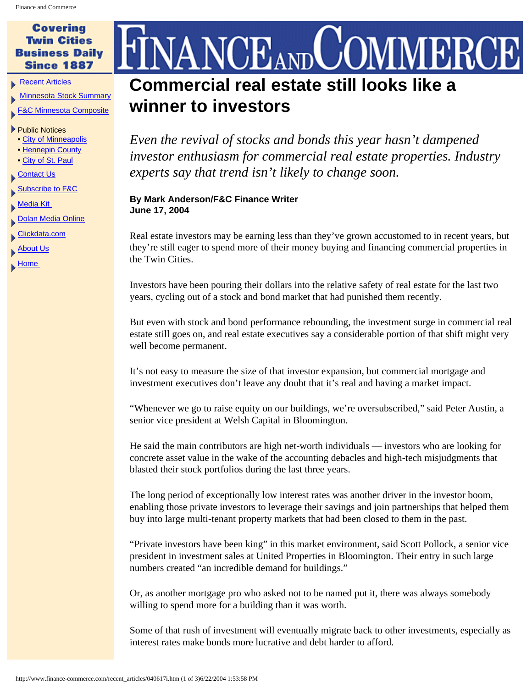## **Covering Twin Cities Business Daily Since 1887**

**[Recent Articles](http://www.finance-commerce.com/recent_articles.htm)** 

[Minnesota Stock Summary](http://studio.financialcontent.com/Engine?Account=finance&PageName=MARKETSUMMARY)

[F&C Minnesota Composite](http://studio.financialcontent.com/Engine?Account=finance&PageName=INDEX&Index=$FCCMP&Mode=SORT)

## ▶ Public Notices

- [City of Minneapolis](http://www.finance-commerce.com/pubnot/mpls_notices.htm)
- [Hennepin County](http://www.co.hennepin.mn.us/vgn/portal/internet/hcchannelmaster/0,2324,1273_81770__2,00.html)
- [City of St. Paul](http://www.ci.stpaul.mn.us/council/minutes)
- [Contact Us](http://www.finance-commerce.com/contact.htm)
- [Subscribe to F&C](http://www.finance-commerce.com/subscribe.cfm)

[Media Kit](http://www.finance-commerce.com/media_kit.htm) 

- **[Dolan Media Online](http://www.dolanmedia.com/)**
- [Clickdata.com](http://www.clickdata.com/)

**[About Us](http://www.finance-commerce.com/aboutus.htm)** 

 $\blacktriangleright$  Home

## VANCEANDUOMMERCI **Commercial real estate still looks like a winner to investors**

*Even the revival of stocks and bonds this year hasn't dampened investor enthusiasm for commercial real estate properties. Industry experts say that trend isn't likely to change soon.* 

## **By Mark Anderson/F&C Finance Writer June 17, 2004**

Real estate investors may be earning less than they've grown accustomed to in recent years, but they're still eager to spend more of their money buying and financing commercial properties in the Twin Cities.

Investors have been pouring their dollars into the relative safety of real estate for the last two years, cycling out of a stock and bond market that had punished them recently.

But even with stock and bond performance rebounding, the investment surge in commercial real estate still goes on, and real estate executives say a considerable portion of that shift might very well become permanent.

It's not easy to measure the size of that investor expansion, but commercial mortgage and investment executives don't leave any doubt that it's real and having a market impact.

"Whenever we go to raise equity on our buildings, we're oversubscribed," said Peter Austin, a senior vice president at Welsh Capital in Bloomington.

He said the main contributors are high net-worth individuals — investors who are looking for concrete asset value in the wake of the accounting debacles and high-tech misjudgments that blasted their stock portfolios during the last three years.

The long period of exceptionally low interest rates was another driver in the investor boom, enabling those private investors to leverage their savings and join partnerships that helped them buy into large multi-tenant property markets that had been closed to them in the past.

"Private investors have been king" in this market environment, said Scott Pollock, a senior vice president in investment sales at United Properties in Bloomington. Their entry in such large numbers created "an incredible demand for buildings."

Or, as another mortgage pro who asked not to be named put it, there was always somebody willing to spend more for a building than it was worth.

Some of that rush of investment will eventually migrate back to other investments, especially as interest rates make bonds more lucrative and debt harder to afford.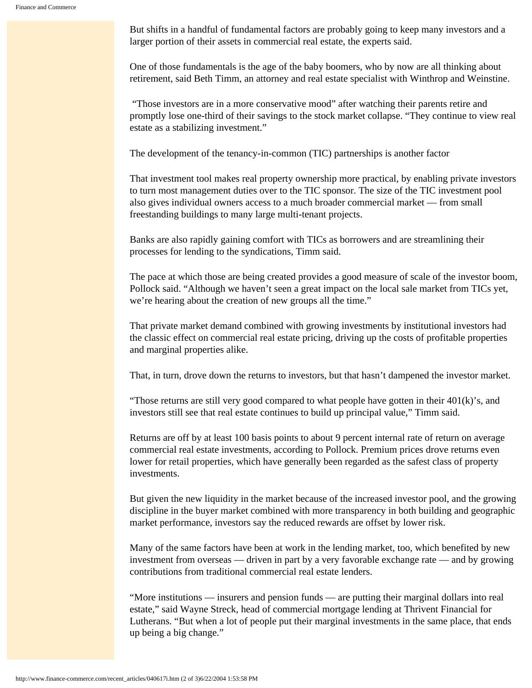But shifts in a handful of fundamental factors are probably going to keep many investors and a larger portion of their assets in commercial real estate, the experts said.

One of those fundamentals is the age of the baby boomers, who by now are all thinking about retirement, said Beth Timm, an attorney and real estate specialist with Winthrop and Weinstine.

 "Those investors are in a more conservative mood" after watching their parents retire and promptly lose one-third of their savings to the stock market collapse. "They continue to view real estate as a stabilizing investment."

The development of the tenancy-in-common (TIC) partnerships is another factor

That investment tool makes real property ownership more practical, by enabling private investors to turn most management duties over to the TIC sponsor. The size of the TIC investment pool also gives individual owners access to a much broader commercial market — from small freestanding buildings to many large multi-tenant projects.

Banks are also rapidly gaining comfort with TICs as borrowers and are streamlining their processes for lending to the syndications, Timm said.

The pace at which those are being created provides a good measure of scale of the investor boom, Pollock said. "Although we haven't seen a great impact on the local sale market from TICs yet, we're hearing about the creation of new groups all the time."

That private market demand combined with growing investments by institutional investors had the classic effect on commercial real estate pricing, driving up the costs of profitable properties and marginal properties alike.

That, in turn, drove down the returns to investors, but that hasn't dampened the investor market.

"Those returns are still very good compared to what people have gotten in their  $401(k)$ "s, and investors still see that real estate continues to build up principal value," Timm said.

Returns are off by at least 100 basis points to about 9 percent internal rate of return on average commercial real estate investments, according to Pollock. Premium prices drove returns even lower for retail properties, which have generally been regarded as the safest class of property investments.

But given the new liquidity in the market because of the increased investor pool, and the growing discipline in the buyer market combined with more transparency in both building and geographic market performance, investors say the reduced rewards are offset by lower risk.

Many of the same factors have been at work in the lending market, too, which benefited by new investment from overseas — driven in part by a very favorable exchange rate — and by growing contributions from traditional commercial real estate lenders.

"More institutions — insurers and pension funds — are putting their marginal dollars into real estate," said Wayne Streck, head of commercial mortgage lending at Thrivent Financial for Lutherans. "But when a lot of people put their marginal investments in the same place, that ends up being a big change."